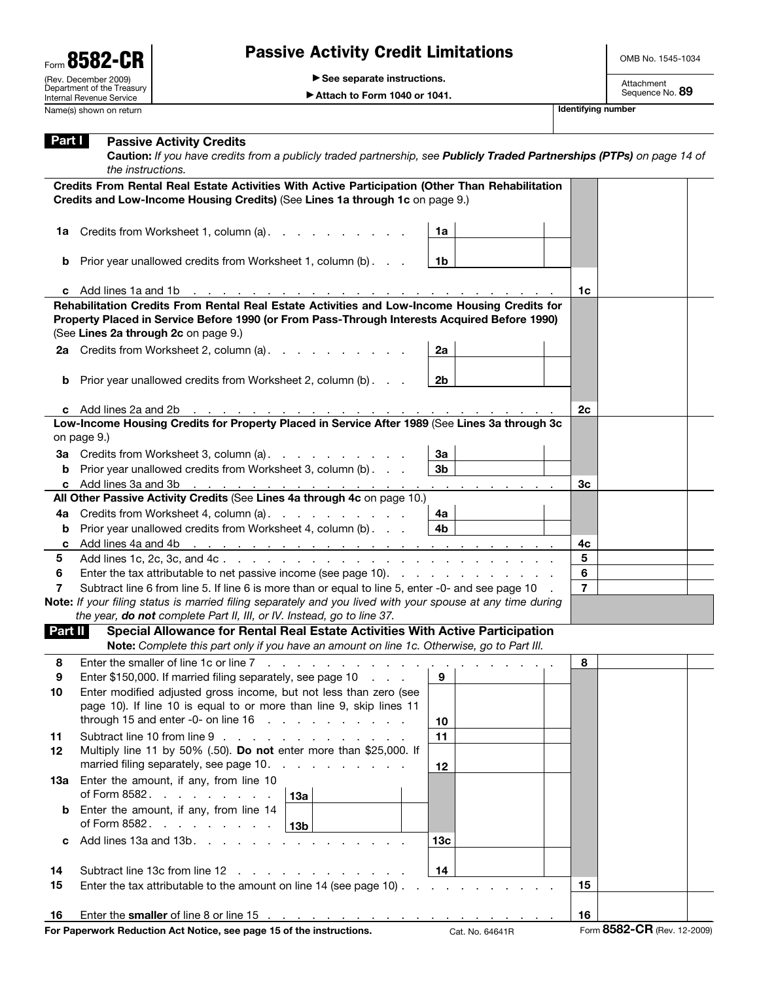## Passive Activity Credit Limitations

OMB No. 1545-1034

© **See separate instructions.**

© **Attach to Form 1040 or 1041.**

| Part I  | <b>Passive Activity Credits</b><br>Caution: If you have credits from a publicly traded partnership, see Publicly Traded Partnerships (PTPs) on page 14 of<br>the instructions.                                                                              |                                   |                             |  |
|---------|-------------------------------------------------------------------------------------------------------------------------------------------------------------------------------------------------------------------------------------------------------------|-----------------------------------|-----------------------------|--|
|         | Credits From Rental Real Estate Activities With Active Participation (Other Than Rehabilitation                                                                                                                                                             |                                   |                             |  |
|         | Credits and Low-Income Housing Credits) (See Lines 1a through 1c on page 9.)                                                                                                                                                                                |                                   |                             |  |
| 1a      | Credits from Worksheet 1, column (a).                                                                                                                                                                                                                       | 1a                                |                             |  |
| b       | Prior year unallowed credits from Worksheet 1, column (b)                                                                                                                                                                                                   | 1b                                |                             |  |
|         | c Add lines 1a and 1b<br>a construction of the construction of the construction of the construction of the construction of the construction of the construction of the construction of the construction of the construction of the construction of the      |                                   | 1 <sub>c</sub>              |  |
|         | Rehabilitation Credits From Rental Real Estate Activities and Low-Income Housing Credits for                                                                                                                                                                |                                   |                             |  |
|         | Property Placed in Service Before 1990 (or From Pass-Through Interests Acquired Before 1990)<br>(See Lines 2a through 2c on page 9.)                                                                                                                        |                                   |                             |  |
|         | 2a Credits from Worksheet 2, column (a).                                                                                                                                                                                                                    | 2a                                |                             |  |
| b       | Prior year unallowed credits from Worksheet 2, column (b)                                                                                                                                                                                                   | 2b                                |                             |  |
|         | c Add lines 2a and 2b<br>and the contract of the contract of the contract of the contract of                                                                                                                                                                |                                   | 2c                          |  |
|         | Low-Income Housing Credits for Property Placed in Service After 1989 (See Lines 3a through 3c<br>on page 9.)                                                                                                                                                |                                   |                             |  |
| За      | Credits from Worksheet 3, column (a).                                                                                                                                                                                                                       | За                                |                             |  |
| b       | Prior year unallowed credits from Worksheet 3, column (b)                                                                                                                                                                                                   | 3b                                |                             |  |
| c       |                                                                                                                                                                                                                                                             |                                   | Зc                          |  |
|         | All Other Passive Activity Credits (See Lines 4a through 4c on page 10.)                                                                                                                                                                                    |                                   |                             |  |
|         | 4a Credits from Worksheet 4, column (a).                                                                                                                                                                                                                    | 4a                                |                             |  |
| b       | Prior year unallowed credits from Worksheet 4, column (b)                                                                                                                                                                                                   | 4b                                |                             |  |
| c       | Add lines 4a and 4b<br><u>the second contract of the second contract of the second contract of the second contract of the second contract of the second contract of the second contract of the second contract of the second contract of the second con</u> |                                   | 4c                          |  |
| 5       |                                                                                                                                                                                                                                                             |                                   | 5                           |  |
| 6       | Enter the tax attributable to net passive income (see page 10).                                                                                                                                                                                             |                                   | 6                           |  |
| 7       | Subtract line 6 from line 5. If line 6 is more than or equal to line 5, enter -0- and see page 10                                                                                                                                                           |                                   | $\overline{7}$              |  |
|         | Note: If your filing status is married filing separately and you lived with your spouse at any time during                                                                                                                                                  |                                   |                             |  |
|         | the year, do not complete Part II, III, or IV. Instead, go to line 37.                                                                                                                                                                                      |                                   |                             |  |
| Part II | Special Allowance for Rental Real Estate Activities With Active Participation<br>Note: Complete this part only if you have an amount on line 1c. Otherwise, go to Part III.                                                                                 |                                   |                             |  |
|         |                                                                                                                                                                                                                                                             |                                   |                             |  |
| 8       | Enter the smaller of line 1c or line 7                                                                                                                                                                                                                      |                                   | 8                           |  |
| 9<br>10 | Enter \$150,000. If married filing separately, see page 10<br>Enter modified adjusted gross income, but not less than zero (see                                                                                                                             | 9                                 |                             |  |
|         | page 10). If line 10 is equal to or more than line 9, skip lines 11                                                                                                                                                                                         |                                   |                             |  |
|         | through 15 and enter -0- on line $16$                                                                                                                                                                                                                       | 10                                |                             |  |
| 11      | Subtract line 10 from line 9                                                                                                                                                                                                                                | 11                                |                             |  |
| 12      | Multiply line 11 by 50% (.50). Do not enter more than \$25,000. If<br>married filing separately, see page 10.                                                                                                                                               | 12                                |                             |  |
| 1За     | Enter the amount, if any, from line 10<br>of Form 8582.<br>13a                                                                                                                                                                                              |                                   |                             |  |
| b       | Enter the amount, if any, from line 14<br>of Form 8582.<br>13 <sub>b</sub>                                                                                                                                                                                  |                                   |                             |  |
| c       | Add lines $13a$ and $13b$ .<br>and a state of the state of the state of the                                                                                                                                                                                 | 13 <sub>c</sub>                   |                             |  |
| 14      | Subtract line 13c from line 12<br>the contract of the contract of the contract of                                                                                                                                                                           | 14                                |                             |  |
| 15      | Enter the tax attributable to the amount on line 14 (see page 10).                                                                                                                                                                                          | and a straight and a straight and | 15                          |  |
|         |                                                                                                                                                                                                                                                             |                                   |                             |  |
| 16      |                                                                                                                                                                                                                                                             |                                   | 16                          |  |
|         | For Paperwork Reduction Act Notice, see page 15 of the instructions.                                                                                                                                                                                        | Cat. No. 64641R                   | Form 8582-CR (Rev. 12-2009) |  |